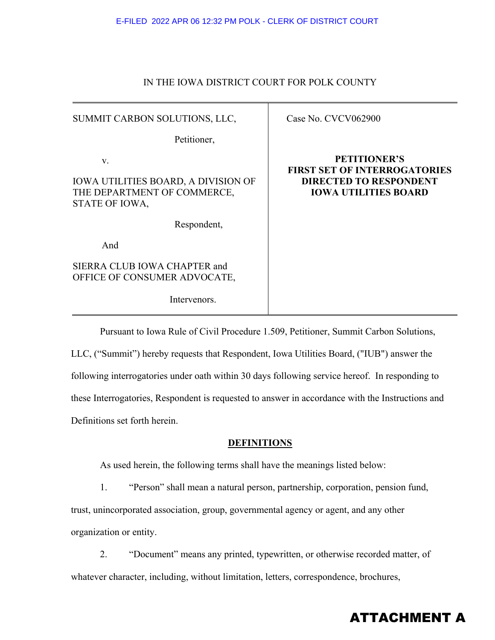#### IN THE IOWA DISTRICT COURT FOR POLK COUNTY

| SUMMIT CARBON SOLUTIONS, LLC,                                                              | Case No. CVCV062900                                                                                                        |
|--------------------------------------------------------------------------------------------|----------------------------------------------------------------------------------------------------------------------------|
| Petitioner,                                                                                |                                                                                                                            |
| V.<br>IOWA UTILITIES BOARD, A DIVISION OF<br>THE DEPARTMENT OF COMMERCE,<br>STATE OF IOWA, | <b>PETITIONER'S</b><br><b>FIRST SET OF INTERROGATORIES</b><br><b>DIRECTED TO RESPONDENT</b><br><b>IOWA UTILITIES BOARD</b> |
| Respondent,                                                                                |                                                                                                                            |
| And                                                                                        |                                                                                                                            |
| SIERRA CLUB IOWA CHAPTER and<br>OFFICE OF CONSUMER ADVOCATE,                               |                                                                                                                            |
| Intervenors.                                                                               |                                                                                                                            |

Pursuant to Iowa Rule of Civil Procedure 1.509, Petitioner, Summit Carbon Solutions, LLC, ("Summit") hereby requests that Respondent, Iowa Utilities Board, ("IUB") answer the following interrogatories under oath within 30 days following service hereof. In responding to these Interrogatories, Respondent is requested to answer in accordance with the Instructions and Definitions set forth herein.

#### **DEFINITIONS**

As used herein, the following terms shall have the meanings listed below:

 1. "Person" shall mean a natural person, partnership, corporation, pension fund, trust, unincorporated association, group, governmental agency or agent, and any other organization or entity.

 2. "Document" means any printed, typewritten, or otherwise recorded matter, of whatever character, including, without limitation, letters, correspondence, brochures,

# ATTACHMENT A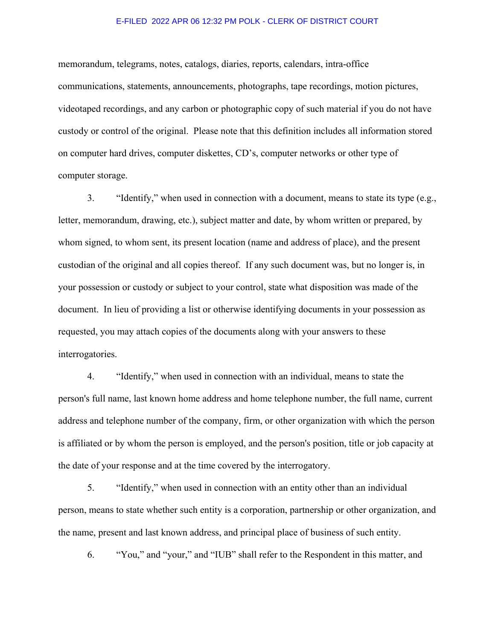#### E-FILED 2022 APR 06 12:32 PM POLK - CLERK OF DISTRICT COURT

memorandum, telegrams, notes, catalogs, diaries, reports, calendars, intra-office communications, statements, announcements, photographs, tape recordings, motion pictures, videotaped recordings, and any carbon or photographic copy of such material if you do not have custody or control of the original. Please note that this definition includes all information stored on computer hard drives, computer diskettes, CD's, computer networks or other type of computer storage.

 3. "Identify," when used in connection with a document, means to state its type (e.g., letter, memorandum, drawing, etc.), subject matter and date, by whom written or prepared, by whom signed, to whom sent, its present location (name and address of place), and the present custodian of the original and all copies thereof. If any such document was, but no longer is, in your possession or custody or subject to your control, state what disposition was made of the document. In lieu of providing a list or otherwise identifying documents in your possession as requested, you may attach copies of the documents along with your answers to these interrogatories.

 4. "Identify," when used in connection with an individual, means to state the person's full name, last known home address and home telephone number, the full name, current address and telephone number of the company, firm, or other organization with which the person is affiliated or by whom the person is employed, and the person's position, title or job capacity at the date of your response and at the time covered by the interrogatory.

 5. "Identify," when used in connection with an entity other than an individual person, means to state whether such entity is a corporation, partnership or other organization, and the name, present and last known address, and principal place of business of such entity.

6. "You," and "your," and "IUB" shall refer to the Respondent in this matter, and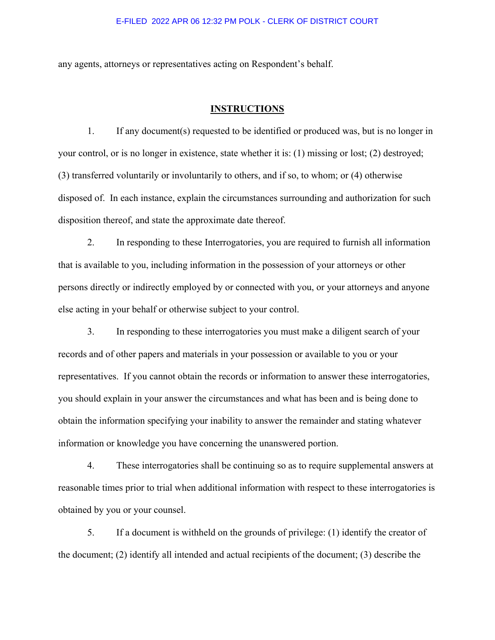#### E-FILED 2022 APR 06 12:32 PM POLK - CLERK OF DISTRICT COURT

any agents, attorneys or representatives acting on Respondent's behalf.

#### **INSTRUCTIONS**

 1. If any document(s) requested to be identified or produced was, but is no longer in your control, or is no longer in existence, state whether it is: (1) missing or lost; (2) destroyed; (3) transferred voluntarily or involuntarily to others, and if so, to whom; or (4) otherwise disposed of. In each instance, explain the circumstances surrounding and authorization for such disposition thereof, and state the approximate date thereof.

 2. In responding to these Interrogatories, you are required to furnish all information that is available to you, including information in the possession of your attorneys or other persons directly or indirectly employed by or connected with you, or your attorneys and anyone else acting in your behalf or otherwise subject to your control.

 3. In responding to these interrogatories you must make a diligent search of your records and of other papers and materials in your possession or available to you or your representatives. If you cannot obtain the records or information to answer these interrogatories, you should explain in your answer the circumstances and what has been and is being done to obtain the information specifying your inability to answer the remainder and stating whatever information or knowledge you have concerning the unanswered portion.

 4. These interrogatories shall be continuing so as to require supplemental answers at reasonable times prior to trial when additional information with respect to these interrogatories is obtained by you or your counsel.

5. If a document is withheld on the grounds of privilege: (1) identify the creator of the document; (2) identify all intended and actual recipients of the document; (3) describe the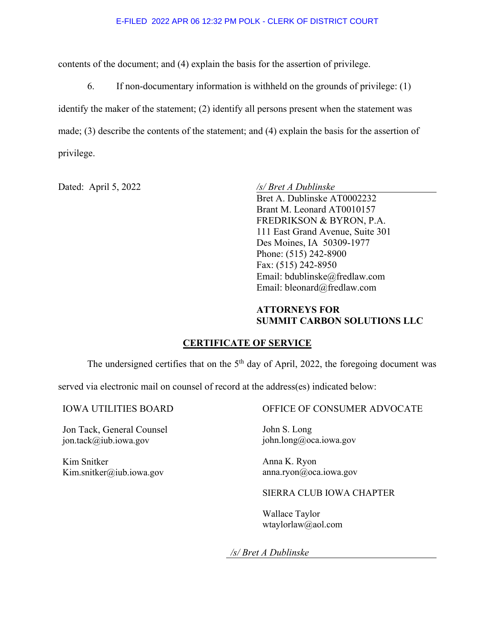contents of the document; and (4) explain the basis for the assertion of privilege.

 6. If non-documentary information is withheld on the grounds of privilege: (1) identify the maker of the statement; (2) identify all persons present when the statement was made; (3) describe the contents of the statement; and (4) explain the basis for the assertion of privilege.

Dated: April 5, 2022 */s/ Bret A Dublinske*

Bret A. Dublinske AT0002232 Brant M. Leonard AT0010157 FREDRIKSON & BYRON, P.A. 111 East Grand Avenue, Suite 301 Des Moines, IA 50309-1977 Phone: (515) 242-8900 Fax: (515) 242-8950 Email: bdublinske@fredlaw.com Email: bleonard@fredlaw.com

### **ATTORNEYS FOR SUMMIT CARBON SOLUTIONS LLC**

### **CERTIFICATE OF SERVICE**

The undersigned certifies that on the  $5<sup>th</sup>$  day of April, 2022, the foregoing document was

served via electronic mail on counsel of record at the address(es) indicated below:

Jon Tack, General Counsel jon.tack@iub.iowa.gov

Kim Snitker Kim.snitker@iub.iowa.gov

### IOWA UTILITIES BOARD OFFICE OF CONSUMER ADVOCATE

John S. Long john.long@oca.iowa.gov

Anna K. Ryon anna.ryon@oca.iowa.gov

### SIERRA CLUB IOWA CHAPTER

Wallace Taylor wtaylorlaw@aol.com

*/s/ Bret A Dublinske*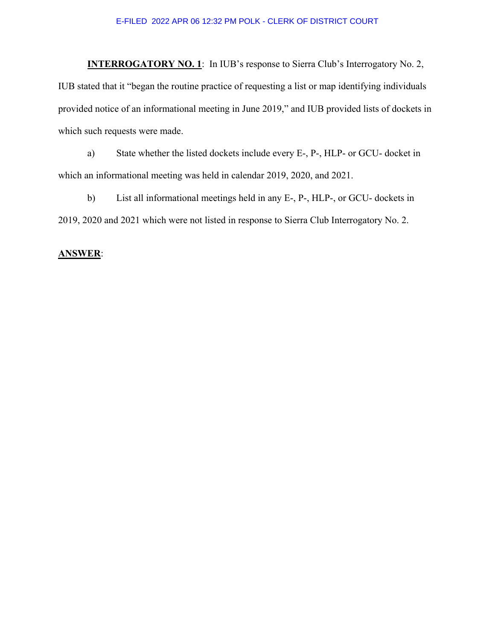#### E-FILED 2022 APR 06 12:32 PM POLK - CLERK OF DISTRICT COURT

**INTERROGATORY NO. 1:** In IUB's response to Sierra Club's Interrogatory No. 2, IUB stated that it "began the routine practice of requesting a list or map identifying individuals provided notice of an informational meeting in June 2019," and IUB provided lists of dockets in which such requests were made.

 a) State whether the listed dockets include every E-, P-, HLP- or GCU- docket in which an informational meeting was held in calendar 2019, 2020, and 2021.

 b) List all informational meetings held in any E-, P-, HLP-, or GCU- dockets in 2019, 2020 and 2021 which were not listed in response to Sierra Club Interrogatory No. 2.

#### **ANSWER**: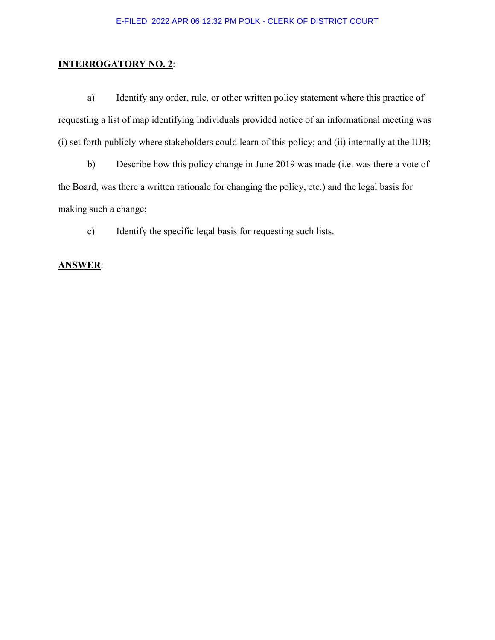### **INTERROGATORY NO. 2**:

a) Identify any order, rule, or other written policy statement where this practice of requesting a list of map identifying individuals provided notice of an informational meeting was (i) set forth publicly where stakeholders could learn of this policy; and (ii) internally at the IUB;

 b) Describe how this policy change in June 2019 was made (i.e. was there a vote of the Board, was there a written rationale for changing the policy, etc.) and the legal basis for making such a change;

c) Identify the specific legal basis for requesting such lists.

#### **ANSWER**: